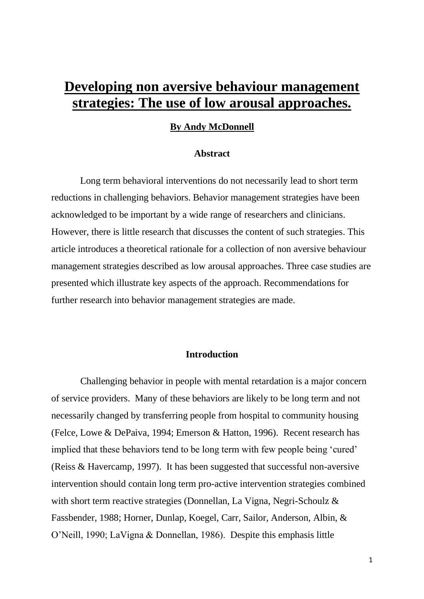# **Developing non aversive behaviour management strategies: The use of low arousal approaches.**

### **By Andy McDonnell**

#### **Abstract**

 Long term behavioral interventions do not necessarily lead to short term reductions in challenging behaviors. Behavior management strategies have been acknowledged to be important by a wide range of researchers and clinicians. However, there is little research that discusses the content of such strategies. This article introduces a theoretical rationale for a collection of non aversive behaviour management strategies described as low arousal approaches. Three case studies are presented which illustrate key aspects of the approach. Recommendations for further research into behavior management strategies are made.

# **Introduction**

 Challenging behavior in people with mental retardation is a major concern of service providers. Many of these behaviors are likely to be long term and not necessarily changed by transferring people from hospital to community housing (Felce, Lowe & DePaiva, 1994; Emerson & Hatton, 1996). Recent research has implied that these behaviors tend to be long term with few people being 'cured' (Reiss & Havercamp, 1997). It has been suggested that successful non-aversive intervention should contain long term pro-active intervention strategies combined with short term reactive strategies (Donnellan, La Vigna, Negri-Schoulz & Fassbender, 1988; Horner, Dunlap, Koegel, Carr, Sailor, Anderson, Albin, & O'Neill, 1990; LaVigna & Donnellan, 1986). Despite this emphasis little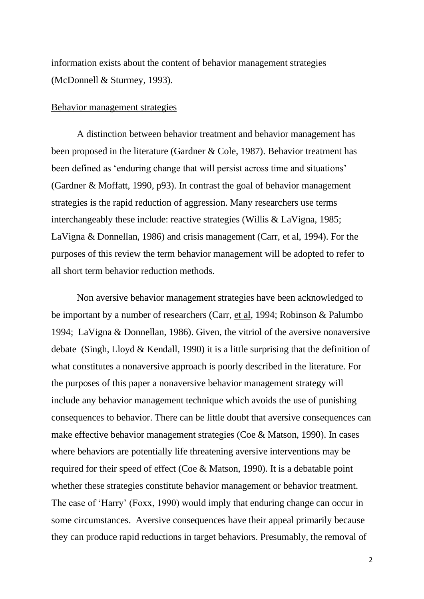information exists about the content of behavior management strategies (McDonnell & Sturmey, 1993).

#### Behavior management strategies

A distinction between behavior treatment and behavior management has been proposed in the literature (Gardner & Cole, 1987). Behavior treatment has been defined as 'enduring change that will persist across time and situations' (Gardner & Moffatt, 1990, p93). In contrast the goal of behavior management strategies is the rapid reduction of aggression. Many researchers use terms interchangeably these include: reactive strategies (Willis & LaVigna, 1985; LaVigna & Donnellan, 1986) and crisis management (Carr, et al, 1994). For the purposes of this review the term behavior management will be adopted to refer to all short term behavior reduction methods.

Non aversive behavior management strategies have been acknowledged to be important by a number of researchers (Carr, et al, 1994; Robinson & Palumbo 1994; LaVigna & Donnellan, 1986). Given, the vitriol of the aversive nonaversive debate (Singh, Lloyd & Kendall, 1990) it is a little surprising that the definition of what constitutes a nonaversive approach is poorly described in the literature. For the purposes of this paper a nonaversive behavior management strategy will include any behavior management technique which avoids the use of punishing consequences to behavior. There can be little doubt that aversive consequences can make effective behavior management strategies (Coe & Matson, 1990). In cases where behaviors are potentially life threatening aversive interventions may be required for their speed of effect (Coe & Matson, 1990). It is a debatable point whether these strategies constitute behavior management or behavior treatment. The case of 'Harry' (Foxx, 1990) would imply that enduring change can occur in some circumstances. Aversive consequences have their appeal primarily because they can produce rapid reductions in target behaviors. Presumably, the removal of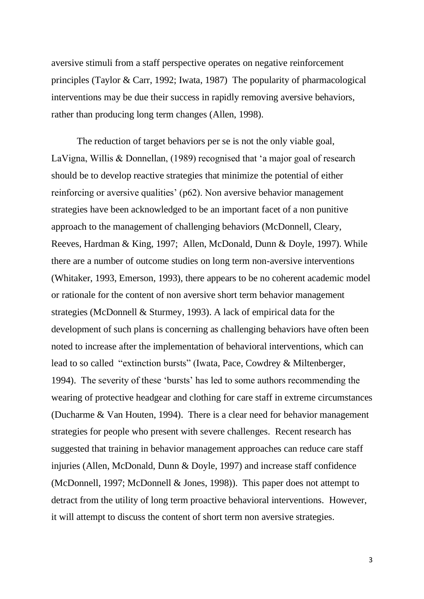aversive stimuli from a staff perspective operates on negative reinforcement principles (Taylor & Carr, 1992; Iwata, 1987) The popularity of pharmacological interventions may be due their success in rapidly removing aversive behaviors, rather than producing long term changes (Allen, 1998).

The reduction of target behaviors per se is not the only viable goal, LaVigna, Willis & Donnellan, (1989) recognised that 'a major goal of research should be to develop reactive strategies that minimize the potential of either reinforcing or aversive qualities' (p62). Non aversive behavior management strategies have been acknowledged to be an important facet of a non punitive approach to the management of challenging behaviors (McDonnell, Cleary, Reeves, Hardman & King, 1997; Allen, McDonald, Dunn & Doyle, 1997). While there are a number of outcome studies on long term non-aversive interventions (Whitaker, 1993, Emerson, 1993), there appears to be no coherent academic model or rationale for the content of non aversive short term behavior management strategies (McDonnell & Sturmey, 1993). A lack of empirical data for the development of such plans is concerning as challenging behaviors have often been noted to increase after the implementation of behavioral interventions, which can lead to so called "extinction bursts" (Iwata, Pace, Cowdrey & Miltenberger, 1994). The severity of these 'bursts' has led to some authors recommending the wearing of protective headgear and clothing for care staff in extreme circumstances (Ducharme & Van Houten, 1994). There is a clear need for behavior management strategies for people who present with severe challenges. Recent research has suggested that training in behavior management approaches can reduce care staff injuries (Allen, McDonald, Dunn & Doyle, 1997) and increase staff confidence (McDonnell, 1997; McDonnell & Jones, 1998)). This paper does not attempt to detract from the utility of long term proactive behavioral interventions. However, it will attempt to discuss the content of short term non aversive strategies.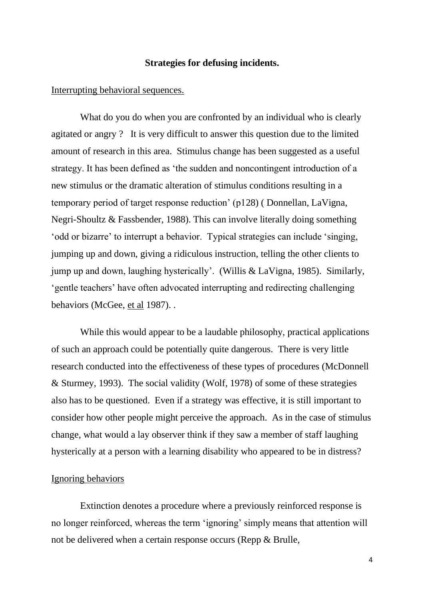## **Strategies for defusing incidents.**

### Interrupting behavioral sequences.

 What do you do when you are confronted by an individual who is clearly agitated or angry ? It is very difficult to answer this question due to the limited amount of research in this area. Stimulus change has been suggested as a useful strategy. It has been defined as 'the sudden and noncontingent introduction of a new stimulus or the dramatic alteration of stimulus conditions resulting in a temporary period of target response reduction' (p128) ( Donnellan, LaVigna, Negri-Shoultz & Fassbender, 1988). This can involve literally doing something 'odd or bizarre' to interrupt a behavior. Typical strategies can include 'singing, jumping up and down, giving a ridiculous instruction, telling the other clients to jump up and down, laughing hysterically'. (Willis & LaVigna, 1985). Similarly, 'gentle teachers' have often advocated interrupting and redirecting challenging behaviors (McGee, et al 1987). .

While this would appear to be a laudable philosophy, practical applications of such an approach could be potentially quite dangerous. There is very little research conducted into the effectiveness of these types of procedures (McDonnell & Sturmey, 1993). The social validity (Wolf, 1978) of some of these strategies also has to be questioned. Even if a strategy was effective, it is still important to consider how other people might perceive the approach. As in the case of stimulus change, what would a lay observer think if they saw a member of staff laughing hysterically at a person with a learning disability who appeared to be in distress?

## Ignoring behaviors

 Extinction denotes a procedure where a previously reinforced response is no longer reinforced, whereas the term 'ignoring' simply means that attention will not be delivered when a certain response occurs (Repp & Brulle,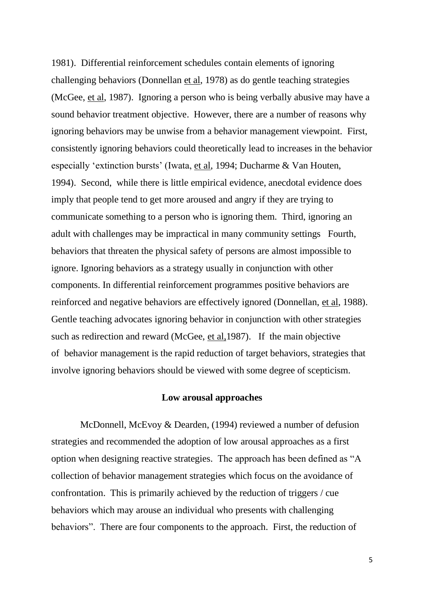1981). Differential reinforcement schedules contain elements of ignoring challenging behaviors (Donnellan et al, 1978) as do gentle teaching strategies (McGee, et al, 1987). Ignoring a person who is being verbally abusive may have a sound behavior treatment objective. However, there are a number of reasons why ignoring behaviors may be unwise from a behavior management viewpoint. First, consistently ignoring behaviors could theoretically lead to increases in the behavior especially 'extinction bursts' (Iwata, et al, 1994; Ducharme & Van Houten, 1994). Second, while there is little empirical evidence, anecdotal evidence does imply that people tend to get more aroused and angry if they are trying to communicate something to a person who is ignoring them. Third, ignoring an adult with challenges may be impractical in many community settings Fourth, behaviors that threaten the physical safety of persons are almost impossible to ignore. Ignoring behaviors as a strategy usually in conjunction with other components. In differential reinforcement programmes positive behaviors are reinforced and negative behaviors are effectively ignored (Donnellan, et al, 1988). Gentle teaching advocates ignoring behavior in conjunction with other strategies such as redirection and reward (McGee, et al,1987). If the main objective of behavior management is the rapid reduction of target behaviors, strategies that involve ignoring behaviors should be viewed with some degree of scepticism.

## **Low arousal approaches**

 McDonnell, McEvoy & Dearden, (1994) reviewed a number of defusion strategies and recommended the adoption of low arousal approaches as a first option when designing reactive strategies. The approach has been defined as "A collection of behavior management strategies which focus on the avoidance of confrontation. This is primarily achieved by the reduction of triggers / cue behaviors which may arouse an individual who presents with challenging behaviors". There are four components to the approach. First, the reduction of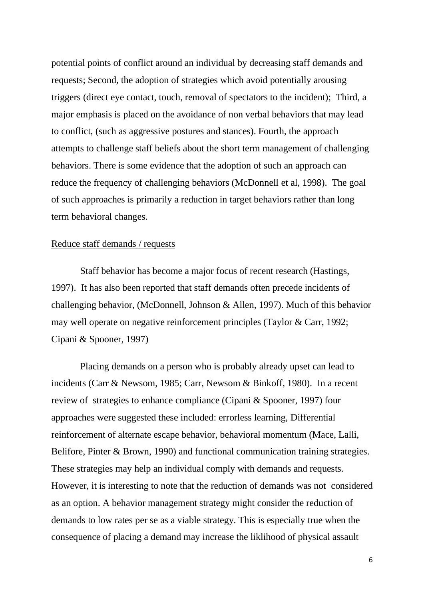potential points of conflict around an individual by decreasing staff demands and requests; Second, the adoption of strategies which avoid potentially arousing triggers (direct eye contact, touch, removal of spectators to the incident); Third, a major emphasis is placed on the avoidance of non verbal behaviors that may lead to conflict, (such as aggressive postures and stances). Fourth, the approach attempts to challenge staff beliefs about the short term management of challenging behaviors. There is some evidence that the adoption of such an approach can reduce the frequency of challenging behaviors (McDonnell et al, 1998). The goal of such approaches is primarily a reduction in target behaviors rather than long term behavioral changes.

#### Reduce staff demands / requests

 Staff behavior has become a major focus of recent research (Hastings, 1997). It has also been reported that staff demands often precede incidents of challenging behavior, (McDonnell, Johnson & Allen, 1997). Much of this behavior may well operate on negative reinforcement principles (Taylor & Carr, 1992; Cipani & Spooner, 1997)

 Placing demands on a person who is probably already upset can lead to incidents (Carr & Newsom, 1985; Carr, Newsom & Binkoff, 1980). In a recent review of strategies to enhance compliance (Cipani & Spooner, 1997) four approaches were suggested these included: errorless learning, Differential reinforcement of alternate escape behavior, behavioral momentum (Mace, Lalli, Belifore, Pinter & Brown, 1990) and functional communication training strategies. These strategies may help an individual comply with demands and requests. However, it is interesting to note that the reduction of demands was not considered as an option. A behavior management strategy might consider the reduction of demands to low rates per se as a viable strategy. This is especially true when the consequence of placing a demand may increase the liklihood of physical assault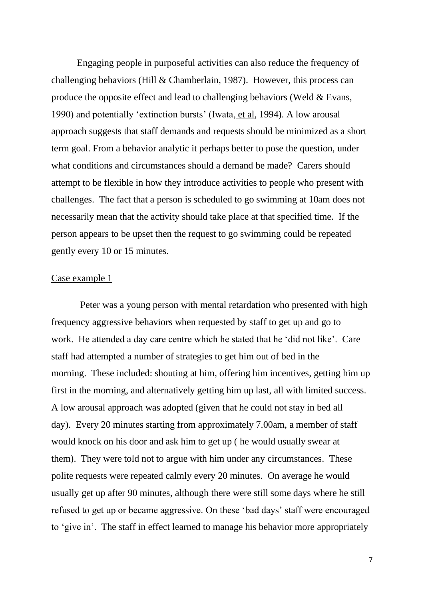Engaging people in purposeful activities can also reduce the frequency of challenging behaviors (Hill & Chamberlain, 1987). However, this process can produce the opposite effect and lead to challenging behaviors (Weld & Evans, 1990) and potentially 'extinction bursts' (Iwata, et al, 1994). A low arousal approach suggests that staff demands and requests should be minimized as a short term goal. From a behavior analytic it perhaps better to pose the question, under what conditions and circumstances should a demand be made? Carers should attempt to be flexible in how they introduce activities to people who present with challenges. The fact that a person is scheduled to go swimming at 10am does not necessarily mean that the activity should take place at that specified time. If the person appears to be upset then the request to go swimming could be repeated gently every 10 or 15 minutes.

### Case example 1

 Peter was a young person with mental retardation who presented with high frequency aggressive behaviors when requested by staff to get up and go to work. He attended a day care centre which he stated that he 'did not like'. Care staff had attempted a number of strategies to get him out of bed in the morning. These included: shouting at him, offering him incentives, getting him up first in the morning, and alternatively getting him up last, all with limited success. A low arousal approach was adopted (given that he could not stay in bed all day). Every 20 minutes starting from approximately 7.00am, a member of staff would knock on his door and ask him to get up ( he would usually swear at them). They were told not to argue with him under any circumstances. These polite requests were repeated calmly every 20 minutes. On average he would usually get up after 90 minutes, although there were still some days where he still refused to get up or became aggressive. On these 'bad days' staff were encouraged to 'give in'. The staff in effect learned to manage his behavior more appropriately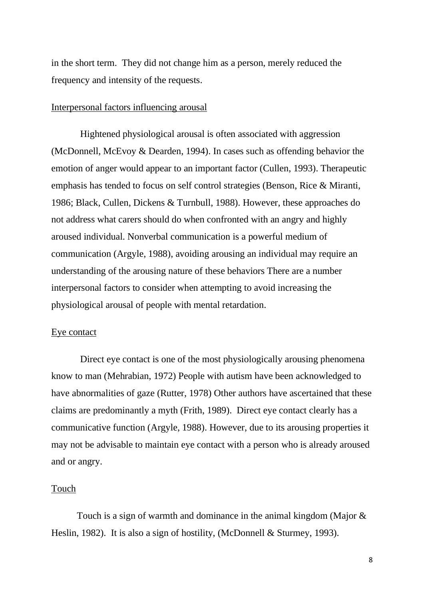in the short term. They did not change him as a person, merely reduced the frequency and intensity of the requests.

## Interpersonal factors influencing arousal

 Hightened physiological arousal is often associated with aggression (McDonnell, McEvoy & Dearden, 1994). In cases such as offending behavior the emotion of anger would appear to an important factor (Cullen, 1993). Therapeutic emphasis has tended to focus on self control strategies (Benson, Rice & Miranti, 1986; Black, Cullen, Dickens & Turnbull, 1988). However, these approaches do not address what carers should do when confronted with an angry and highly aroused individual. Nonverbal communication is a powerful medium of communication (Argyle, 1988), avoiding arousing an individual may require an understanding of the arousing nature of these behaviors There are a number interpersonal factors to consider when attempting to avoid increasing the physiological arousal of people with mental retardation.

## Eye contact

 Direct eye contact is one of the most physiologically arousing phenomena know to man (Mehrabian, 1972) People with autism have been acknowledged to have abnormalities of gaze (Rutter, 1978) Other authors have ascertained that these claims are predominantly a myth (Frith, 1989). Direct eye contact clearly has a communicative function (Argyle, 1988). However, due to its arousing properties it may not be advisable to maintain eye contact with a person who is already aroused and or angry.

## Touch

Touch is a sign of warmth and dominance in the animal kingdom (Major & Heslin, 1982). It is also a sign of hostility, (McDonnell & Sturmey, 1993).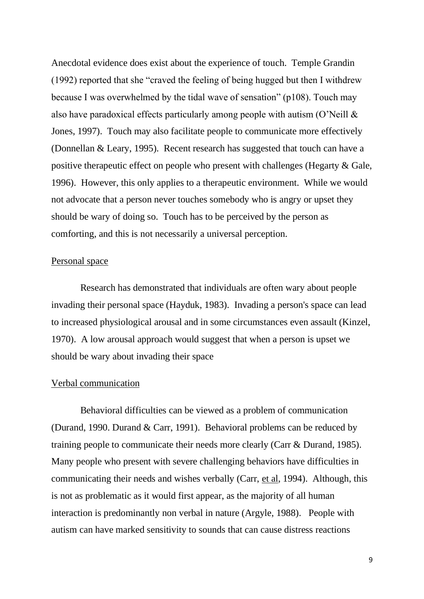Anecdotal evidence does exist about the experience of touch. Temple Grandin (1992) reported that she "craved the feeling of being hugged but then I withdrew because I was overwhelmed by the tidal wave of sensation" (p108). Touch may also have paradoxical effects particularly among people with autism (O'Neill & Jones, 1997). Touch may also facilitate people to communicate more effectively (Donnellan & Leary, 1995). Recent research has suggested that touch can have a positive therapeutic effect on people who present with challenges (Hegarty & Gale, 1996). However, this only applies to a therapeutic environment. While we would not advocate that a person never touches somebody who is angry or upset they should be wary of doing so. Touch has to be perceived by the person as comforting, and this is not necessarily a universal perception.

## Personal space

 Research has demonstrated that individuals are often wary about people invading their personal space (Hayduk, 1983). Invading a person's space can lead to increased physiological arousal and in some circumstances even assault (Kinzel, 1970). A low arousal approach would suggest that when a person is upset we should be wary about invading their space

### Verbal communication

 Behavioral difficulties can be viewed as a problem of communication (Durand, 1990. Durand & Carr, 1991). Behavioral problems can be reduced by training people to communicate their needs more clearly (Carr & Durand, 1985). Many people who present with severe challenging behaviors have difficulties in communicating their needs and wishes verbally (Carr, et al, 1994). Although, this is not as problematic as it would first appear, as the majority of all human interaction is predominantly non verbal in nature (Argyle, 1988). People with autism can have marked sensitivity to sounds that can cause distress reactions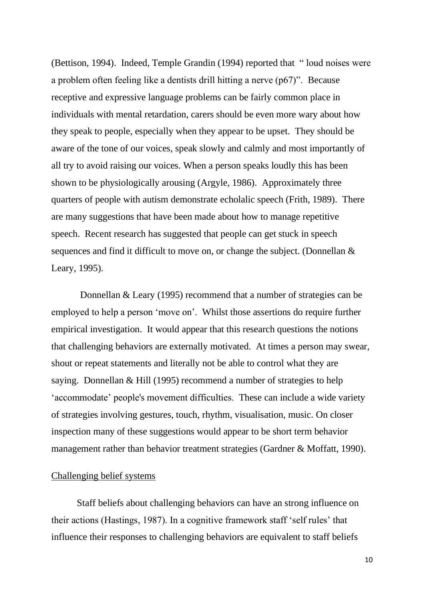(Bettison, 1994). Indeed, Temple Grandin (1994) reported that " loud noises were a problem often feeling like a dentists drill hitting a nerve (p67)". Because receptive and expressive language problems can be fairly common place in individuals with mental retardation, carers should be even more wary about how they speak to people, especially when they appear to be upset. They should be aware of the tone of our voices, speak slowly and calmly and most importantly of all try to avoid raising our voices. When a person speaks loudly this has been shown to be physiologically arousing (Argyle, 1986). Approximately three quarters of people with autism demonstrate echolalic speech (Frith, 1989). There are many suggestions that have been made about how to manage repetitive speech. Recent research has suggested that people can get stuck in speech sequences and find it difficult to move on, or change the subject. (Donnellan & Leary, 1995).

 Donnellan & Leary (1995) recommend that a number of strategies can be employed to help a person 'move on'. Whilst those assertions do require further empirical investigation. It would appear that this research questions the notions that challenging behaviors are externally motivated. At times a person may swear, shout or repeat statements and literally not be able to control what they are saying. Donnellan & Hill (1995) recommend a number of strategies to help 'accommodate' people's movement difficulties. These can include a wide variety of strategies involving gestures, touch, rhythm, visualisation, music. On closer inspection many of these suggestions would appear to be short term behavior management rather than behavior treatment strategies (Gardner & Moffatt, 1990).

#### Challenging belief systems

Staff beliefs about challenging behaviors can have an strong influence on their actions (Hastings, 1987). In a cognitive framework staff 'self rules' that influence their responses to challenging behaviors are equivalent to staff beliefs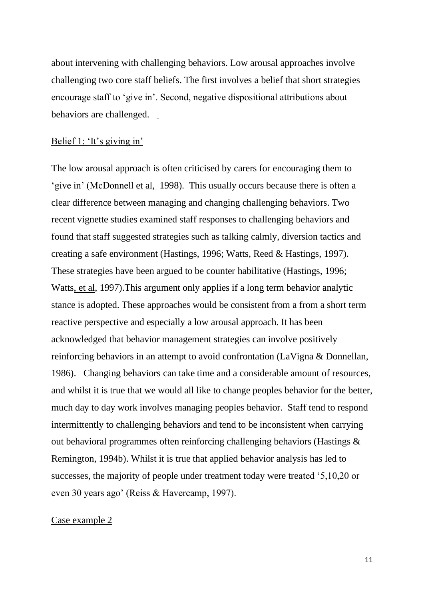about intervening with challenging behaviors. Low arousal approaches involve challenging two core staff beliefs. The first involves a belief that short strategies encourage staff to 'give in'. Second, negative dispositional attributions about behaviors are challenged.

## Belief 1: 'It's giving in'

The low arousal approach is often criticised by carers for encouraging them to 'give in' (McDonnell et al, 1998). This usually occurs because there is often a clear difference between managing and changing challenging behaviors. Two recent vignette studies examined staff responses to challenging behaviors and found that staff suggested strategies such as talking calmly, diversion tactics and creating a safe environment (Hastings, 1996; Watts, Reed & Hastings, 1997). These strategies have been argued to be counter habilitative (Hastings, 1996; Watts, et al, 1997).This argument only applies if a long term behavior analytic stance is adopted. These approaches would be consistent from a from a short term reactive perspective and especially a low arousal approach. It has been acknowledged that behavior management strategies can involve positively reinforcing behaviors in an attempt to avoid confrontation (LaVigna & Donnellan, 1986). Changing behaviors can take time and a considerable amount of resources, and whilst it is true that we would all like to change peoples behavior for the better, much day to day work involves managing peoples behavior. Staff tend to respond intermittently to challenging behaviors and tend to be inconsistent when carrying out behavioral programmes often reinforcing challenging behaviors (Hastings & Remington, 1994b). Whilst it is true that applied behavior analysis has led to successes, the majority of people under treatment today were treated '5,10,20 or even 30 years ago' (Reiss & Havercamp, 1997).

#### Case example 2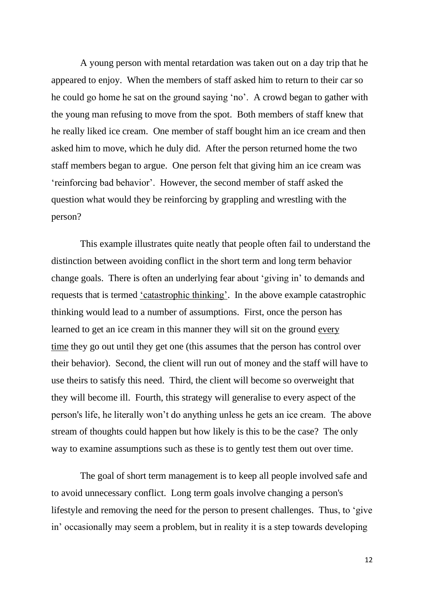A young person with mental retardation was taken out on a day trip that he appeared to enjoy. When the members of staff asked him to return to their car so he could go home he sat on the ground saying 'no'. A crowd began to gather with the young man refusing to move from the spot. Both members of staff knew that he really liked ice cream. One member of staff bought him an ice cream and then asked him to move, which he duly did. After the person returned home the two staff members began to argue. One person felt that giving him an ice cream was 'reinforcing bad behavior'. However, the second member of staff asked the question what would they be reinforcing by grappling and wrestling with the person?

 This example illustrates quite neatly that people often fail to understand the distinction between avoiding conflict in the short term and long term behavior change goals. There is often an underlying fear about 'giving in' to demands and requests that is termed 'catastrophic thinking'. In the above example catastrophic thinking would lead to a number of assumptions. First, once the person has learned to get an ice cream in this manner they will sit on the ground every time they go out until they get one (this assumes that the person has control over their behavior). Second, the client will run out of money and the staff will have to use theirs to satisfy this need. Third, the client will become so overweight that they will become ill. Fourth, this strategy will generalise to every aspect of the person's life, he literally won't do anything unless he gets an ice cream. The above stream of thoughts could happen but how likely is this to be the case? The only way to examine assumptions such as these is to gently test them out over time.

 The goal of short term management is to keep all people involved safe and to avoid unnecessary conflict. Long term goals involve changing a person's lifestyle and removing the need for the person to present challenges. Thus, to 'give in' occasionally may seem a problem, but in reality it is a step towards developing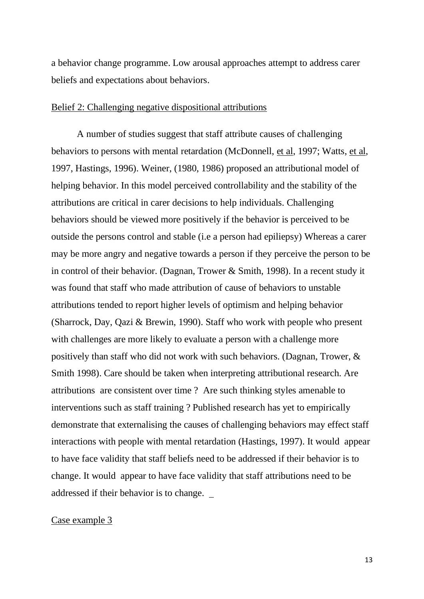a behavior change programme. Low arousal approaches attempt to address carer beliefs and expectations about behaviors.

## Belief 2: Challenging negative dispositional attributions

A number of studies suggest that staff attribute causes of challenging behaviors to persons with mental retardation (McDonnell, et al, 1997; Watts, et al, 1997, Hastings, 1996). Weiner, (1980, 1986) proposed an attributional model of helping behavior. In this model perceived controllability and the stability of the attributions are critical in carer decisions to help individuals. Challenging behaviors should be viewed more positively if the behavior is perceived to be outside the persons control and stable (i.e a person had epiliepsy) Whereas a carer may be more angry and negative towards a person if they perceive the person to be in control of their behavior. (Dagnan, Trower & Smith, 1998). In a recent study it was found that staff who made attribution of cause of behaviors to unstable attributions tended to report higher levels of optimism and helping behavior (Sharrock, Day, Qazi & Brewin, 1990). Staff who work with people who present with challenges are more likely to evaluate a person with a challenge more positively than staff who did not work with such behaviors. (Dagnan, Trower, & Smith 1998). Care should be taken when interpreting attributional research. Are attributions are consistent over time ? Are such thinking styles amenable to interventions such as staff training ? Published research has yet to empirically demonstrate that externalising the causes of challenging behaviors may effect staff interactions with people with mental retardation (Hastings, 1997). It would appear to have face validity that staff beliefs need to be addressed if their behavior is to change. It would appear to have face validity that staff attributions need to be addressed if their behavior is to change.

#### Case example 3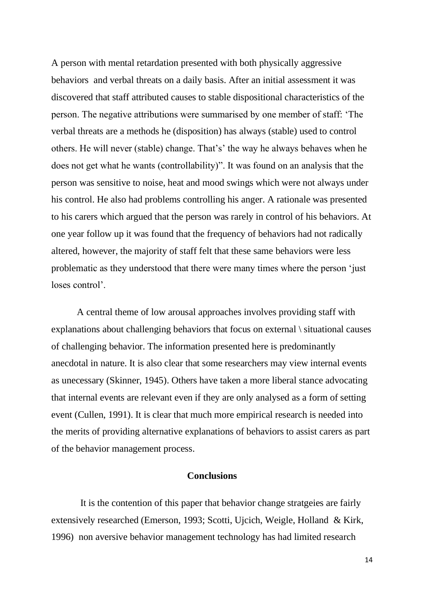A person with mental retardation presented with both physically aggressive behaviors and verbal threats on a daily basis. After an initial assessment it was discovered that staff attributed causes to stable dispositional characteristics of the person. The negative attributions were summarised by one member of staff: 'The verbal threats are a methods he (disposition) has always (stable) used to control others. He will never (stable) change. That's' the way he always behaves when he does not get what he wants (controllability)". It was found on an analysis that the person was sensitive to noise, heat and mood swings which were not always under his control. He also had problems controlling his anger. A rationale was presented to his carers which argued that the person was rarely in control of his behaviors. At one year follow up it was found that the frequency of behaviors had not radically altered, however, the majority of staff felt that these same behaviors were less problematic as they understood that there were many times where the person 'just loses control'.

A central theme of low arousal approaches involves providing staff with explanations about challenging behaviors that focus on external \ situational causes of challenging behavior. The information presented here is predominantly anecdotal in nature. It is also clear that some researchers may view internal events as unecessary (Skinner, 1945). Others have taken a more liberal stance advocating that internal events are relevant even if they are only analysed as a form of setting event (Cullen, 1991). It is clear that much more empirical research is needed into the merits of providing alternative explanations of behaviors to assist carers as part of the behavior management process.

# **Conclusions**

 It is the contention of this paper that behavior change stratgeies are fairly extensively researched (Emerson, 1993; Scotti, Ujcich, Weigle, Holland & Kirk, 1996) non aversive behavior management technology has had limited research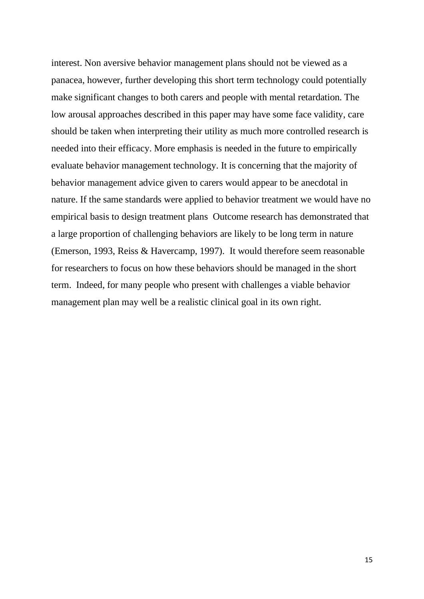interest. Non aversive behavior management plans should not be viewed as a panacea, however, further developing this short term technology could potentially make significant changes to both carers and people with mental retardation. The low arousal approaches described in this paper may have some face validity, care should be taken when interpreting their utility as much more controlled research is needed into their efficacy. More emphasis is needed in the future to empirically evaluate behavior management technology. It is concerning that the majority of behavior management advice given to carers would appear to be anecdotal in nature. If the same standards were applied to behavior treatment we would have no empirical basis to design treatment plans Outcome research has demonstrated that a large proportion of challenging behaviors are likely to be long term in nature (Emerson, 1993, Reiss & Havercamp, 1997). It would therefore seem reasonable for researchers to focus on how these behaviors should be managed in the short term. Indeed, for many people who present with challenges a viable behavior management plan may well be a realistic clinical goal in its own right.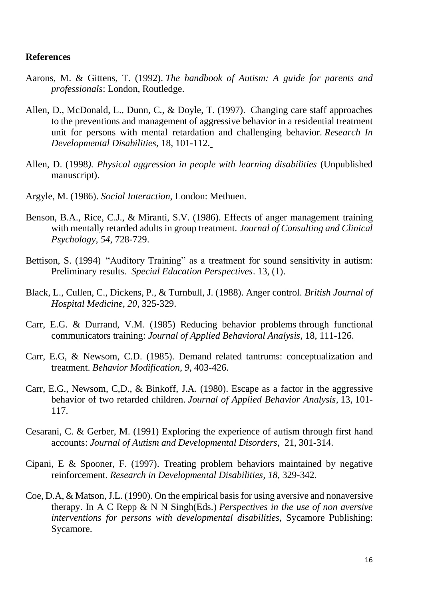## **References**

- Aarons, M. & Gittens, T. (1992). *The handbook of Autism: A guide for parents and professionals*: London, Routledge.
- Allen, D., McDonald, L., Dunn, C., & Doyle, T. (1997). Changing care staff approaches to the preventions and management of aggressive behavior in a residential treatment unit for persons with mental retardation and challenging behavior. *Research In Developmental Disabilities,* 18, 101-112.
- Allen, D. (1998*). Physical aggression in people with learning disabilities* (Unpublished manuscript).
- Argyle, M. (1986). *Social Interaction*, London: Methuen.
- Benson, B.A., Rice, C.J., & Miranti, S.V. (1986). Effects of anger management training with mentally retarded adults in group treatment. *Journal of Consulting and Clinical Psychology, 54*, 728-729.
- Bettison, S. (1994) "Auditory Training" as a treatment for sound sensitivity in autism: Preliminary results*. Special Education Perspectives*. 13, (1).
- Black, L., Cullen, C., Dickens, P., & Turnbull, J. (1988). Anger control. *British Journal of Hospital Medicine, 20*, 325-329.
- Carr, E.G. & Durrand, V.M. (1985) Reducing behavior problems through functional communicators training: *Journal of Applied Behavioral Analysis,* 18, 111-126.
- Carr, E.G, & Newsom, C.D. (1985). Demand related tantrums: conceptualization and treatment. *Behavior Modification, 9*, 403-426.
- Carr, E.G., Newsom, C,D., & Binkoff, J.A. (1980). Escape as a factor in the aggressive behavior of two retarded children. *Journal of Applied Behavior Analysis*, 13, 101- 117.
- Cesarani, C. & Gerber, M. (1991) Exploring the experience of autism through first hand accounts: *Journal of Autism and Developmental Disorders*, 21, 301-314.
- Cipani, E & Spooner, F. (1997). Treating problem behaviors maintained by negative reinforcement. *Research in Developmental Disabilities, 18*, 329-342.
- Coe, D.A, & Matson, J.L. (1990). On the empirical basis for using aversive and nonaversive therapy. In A C Repp & N N Singh(Eds.) *Perspectives in the use of non aversive interventions for persons with developmental disabilities,* Sycamore Publishing: Sycamore.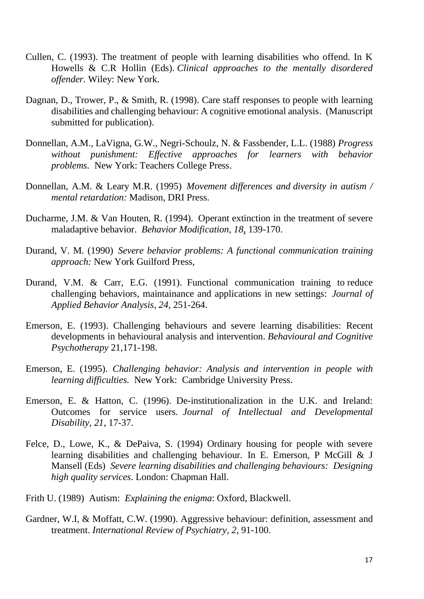- Cullen, C. (1993). The treatment of people with learning disabilities who offend. In K Howells & C.R Hollin (Eds). *Clinical approaches to the mentally disordered offender.* Wiley: New York.
- Dagnan, D., Trower, P., & Smith, R. (1998). Care staff responses to people with learning disabilities and challenging behaviour: A cognitive emotional analysis. (Manuscript submitted for publication).
- Donnellan, A.M., LaVigna, G.W., Negri-Schoulz, N. & Fassbender, L.L. (1988) *Progress without punishment: Effective approaches for learners with behavior problems.* New York: Teachers College Press.
- Donnellan, A.M. & Leary M.R. (1995) *Movement differences and diversity in autism / mental retardation:* Madison, DRI Press.
- Ducharme, J.M. & Van Houten, R. (1994). Operant extinction in the treatment of severe maladaptive behavior. *Behavior Modification, 18*, 139-170.
- Durand, V. M. (1990) *Severe behavior problems: A functional communication training approach:* New York Guilford Press,
- Durand, V.M. & Carr, E.G. (1991). Functional communication training to reduce challenging behaviors, maintainance and applications in new settings: *Journal of Applied Behavior Analysis, 24,* 251-264.
- Emerson, E. (1993). Challenging behaviours and severe learning disabilities: Recent developments in behavioural analysis and intervention. *Behavioural and Cognitive Psychotherapy* 21,171-198.
- Emerson, E. (1995). *Challenging behavior: Analysis and intervention in people with learning difficulties.* New York: Cambridge University Press.
- Emerson, E. & Hatton, C. (1996). De-institutionalization in the U.K. and Ireland: Outcomes for service users. *Journal of Intellectual and Developmental Disability, 21*, 17-37.
- Felce, D., Lowe, K., & DePaiva, S. (1994) Ordinary housing for people with severe learning disabilities and challenging behaviour. In E. Emerson, P McGill & J Mansell (Eds) *Severe learning disabilities and challenging behaviours: Designing high quality services*. London: Chapman Hall.
- Frith U. (1989) Autism: *Explaining the enigma*: Oxford, Blackwell.
- Gardner, W.I, & Moffatt, C.W. (1990). Aggressive behaviour: definition, assessment and treatment. *International Review of Psychiatry, 2*, 91-100.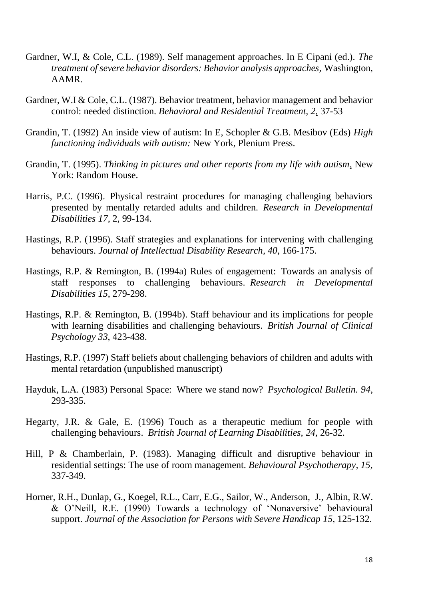- Gardner, W.I, & Cole, C.L. (1989). Self management approaches. In E Cipani (ed.). *The treatment of severe behavior disorders: Behavior analysis approaches,* Washington, AAMR.
- Gardner, W.I & Cole, C.L. (1987). Behavior treatment, behavior management and behavior control: needed distinction. *Behavioral and Residential Treatment, 2*, 37-53
- Grandin, T. (1992) An inside view of autism: In E, Schopler & G.B. Mesibov (Eds) *High functioning individuals with autism:* New York, Plenium Press.
- Grandin, T. (1995). *Thinking in pictures and other reports from my life with autism*, New York: Random House.
- Harris, P.C. (1996). Physical restraint procedures for managing challenging behaviors presented by mentally retarded adults and children. *Research in Developmental Disabilities 17,* 2, 99-134.
- Hastings, R.P. (1996). Staff strategies and explanations for intervening with challenging behaviours. *Journal of Intellectual Disability Research, 40*, 166-175.
- Hastings, R.P. & Remington, B. (1994a) Rules of engagement: Towards an analysis of staff responses to challenging behaviours. *Research in Developmental Disabilities 15*, 279-298.
- Hastings, R.P. & Remington, B. (1994b). Staff behaviour and its implications for people with learning disabilities and challenging behaviours. *British Journal of Clinical Psychology 33*, 423-438.
- Hastings, R.P. (1997) Staff beliefs about challenging behaviors of children and adults with mental retardation (unpublished manuscript)
- Hayduk, L.A. (1983) Personal Space: Where we stand now? *Psychological Bulletin. 94*, 293-335.
- Hegarty, J.R. & Gale, E. (1996) Touch as a therapeutic medium for people with challenging behaviours. *British Journal of Learning Disabilities, 24,* 26-32.
- Hill, P & Chamberlain, P. (1983). Managing difficult and disruptive behaviour in residential settings: The use of room management. *Behavioural Psychotherapy, 15,* 337-349.
- Horner, R.H., Dunlap, G., Koegel, R.L., Carr, E.G., Sailor, W., Anderson, J., Albin, R.W. & O'Neill, R.E. (1990) Towards a technology of 'Nonaversive' behavioural support. *Journal of the Association for Persons with Severe Handicap 15*, 125-132.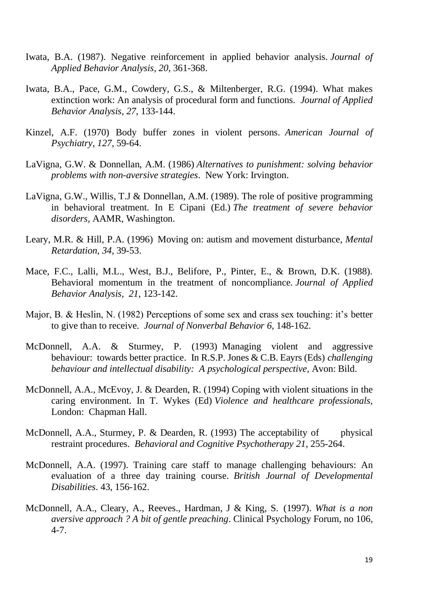- Iwata, B.A. (1987). Negative reinforcement in applied behavior analysis. *Journal of Applied Behavior Analysis, 20*, 361-368.
- Iwata, B.A., Pace, G.M., Cowdery, G.S., & Miltenberger, R.G. (1994). What makes extinction work: An analysis of procedural form and functions. *Journal of Applied Behavior Analysis, 27*, 133-144.
- Kinzel, A.F. (1970) Body buffer zones in violent persons*. American Journal of Psychiatry, 127,* 59-64.
- LaVigna, G.W. & Donnellan, A.M. (1986) *Alternatives to punishment: solving behavior problems with non-aversive strategies*. New York: Irvington.
- LaVigna, G.W., Willis, T.J & Donnellan, A.M. (1989). The role of positive programming in behavioral treatment. In E Cipani (Ed.) *The treatment of severe behavior disorders,* AAMR, Washington.
- Leary, M.R. & Hill, P.A. (1996) Moving on: autism and movement disturbance, *Mental Retardation, 34,* 39-53.
- Mace, F.C., Lalli, M.L., West, B.J., Belifore, P., Pinter, E., & Brown, D.K. (1988). Behavioral momentum in the treatment of noncompliance. *Journal of Applied Behavior Analysis, 21*, 123-142.
- Major, B. & Heslin, N. (1982) Perceptions of some sex and crass sex touching: it's better to give than to receive. *Journal of Nonverbal Behavior 6,* 148-162.
- McDonnell, A.A. & Sturmey, P. (1993) Managing violent and aggressive behaviour: towards better practice. In R.S.P. Jones & C.B. Eayrs (Eds) *challenging behaviour and intellectual disability: A psychological perspective,* Avon: Bild.
- McDonnell, A.A., McEvoy, J. & Dearden, R. (1994) Coping with violent situations in the caring environment. In T. Wykes (Ed) *Violence and healthcare professionals,* London: Chapman Hall.
- McDonnell, A.A., Sturmey, P. & Dearden, R. (1993) The acceptability of physical restraint procedures. *Behavioral and Cognitive Psychotherapy 21*, 255-264.
- McDonnell, A.A. (1997). Training care staff to manage challenging behaviours: An evaluation of a three day training course. *British Journal of Developmental Disabilities*. 43, 156-162.
- McDonnell, A.A., Cleary, A., Reeves., Hardman, J & King, S. (1997). *What is a non aversive approach ? A bit of gentle preaching*. Clinical Psychology Forum, no 106, 4-7.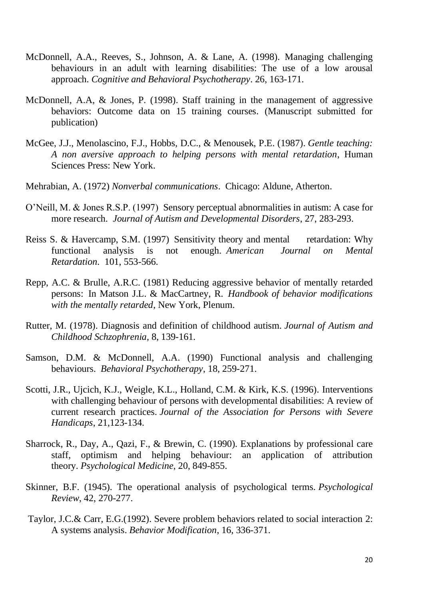- McDonnell, A.A., Reeves, S., Johnson, A. & Lane, A. (1998). Managing challenging behaviours in an adult with learning disabilities: The use of a low arousal approach. *Cognitive and Behavioral Psychotherapy*. 26, 163-171.
- McDonnell, A.A, & Jones, P. (1998). Staff training in the management of aggressive behaviors: Outcome data on 15 training courses. (Manuscript submitted for publication)
- McGee, J.J., Menolascino, F.J., Hobbs, D.C., & Menousek, P.E. (1987). *Gentle teaching: A non aversive approach to helping persons with mental retardation*, Human Sciences Press: New York.
- Mehrabian, A. (1972) *Nonverbal communications*. Chicago: Aldune, Atherton.
- O'Neill, M. & Jones R.S.P. (1997) Sensory perceptual abnormalities in autism: A case for more research. *Journal of Autism and Developmental Disorders*, 27, 283-293.
- Reiss S. & Havercamp, S.M. (1997) Sensitivity theory and mental retardation: Why functional analysis is not enough. *American Journal on Mental Retardation*. 101, 553-566.
- Repp, A.C. & Brulle, A.R.C. (1981) Reducing aggressive behavior of mentally retarded persons: In Matson J.L. & MacCartney, R. *Handbook of behavior modifications with the mentally retarded*, New York, Plenum.
- Rutter, M. (1978). Diagnosis and definition of childhood autism. *Journal of Autism and Childhood Schzophrenia,* 8, 139-161.
- Samson, D.M. & McDonnell, A.A. (1990) Functional analysis and challenging behaviours. *Behavioral Psychotherapy*, 18, 259-271.
- Scotti, J.R., Ujcich, K.J., Weigle, K.L., Holland, C.M. & Kirk, K.S. (1996). Interventions with challenging behaviour of persons with developmental disabilities: A review of current research practices. *Journal of the Association for Persons with Severe Handicaps*, 21,123-134.
- Sharrock, R., Day, A., Qazi, F., & Brewin, C. (1990). Explanations by professional care staff, optimism and helping behaviour: an application of attribution theory. *Psychological Medicine*, 20, 849-855.
- Skinner, B.F. (1945). The operational analysis of psychological terms. *Psychological Review*, 42, 270-277.
- Taylor, J.C.& Carr, E.G.(1992). Severe problem behaviors related to social interaction 2: A systems analysis. *Behavior Modification*, 16, 336-371.